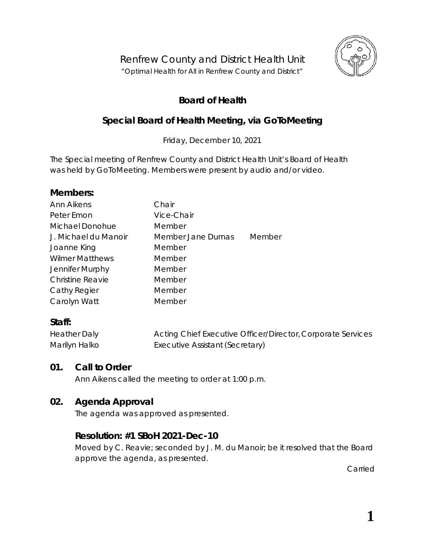

# **Board of Health**

# **Special Board of Health Meeting, via GoToMeeting**

Friday, December 10, 2021

The Special meeting of Renfrew County and District Health Unit's Board of Health was held by *GoToMeeting*. Members were present by audio and/or video.

## **Members:**

| <b>Ann Aikens</b>       | Chair             |        |
|-------------------------|-------------------|--------|
| Peter Emon              | Vice-Chair        |        |
| Michael Donohue         | Member            |        |
| J. Michael du Manoir    | Member Jane Dumas | Member |
| Joanne King             | Member            |        |
| <b>Wilmer Matthews</b>  | Member            |        |
| Jennifer Murphy         | Member            |        |
| <b>Christine Reavie</b> | Member            |        |
| Cathy Regier            | Member            |        |
| Carolyn Watt            | Member            |        |

## **Staff:**

| <b>Heather Daly</b> | Acting Chief Executive Officer/Director, Corporate Services |
|---------------------|-------------------------------------------------------------|
| Marilyn Halko       | Executive Assistant (Secretary)                             |

## **01. Call to Order**

Ann Aikens called the meeting to order at 1:00 p.m.

## **02. Agenda Approval**

The agenda was approved as presented.

## **Resolution: #1 SBoH 2021-Dec-10**

Moved by C. Reavie; seconded by J. M. du Manoir; be it resolved that the Board approve the agenda, as presented.

Carried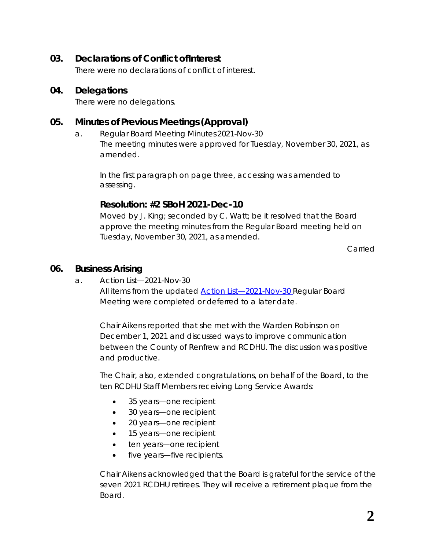## **03. Declarations of Conflict ofInterest**

There were no declarations of conflict of interest.

#### **04. Delegations**

There were no delegations.

### **05. Minutes of Previous Meetings (Approval)**

a. Regular Board Meeting Minutes 2021-Nov-30 The meeting minutes were approved for Tuesday, November 30, 2021, as amended.

In the first paragraph on page three, accessing was amended to assessing.

## **Resolution: #2 SBoH 2021-Dec-10**

Moved by J. King; seconded by C. Watt; be it resolved that the Board approve the meeting minutes from the Regular Board meeting held on Tuesday, November 30, 2021, as amended.

Carried

#### **06. Business Arising**

a. Action List—2021-Nov-30 All items from the updated *[Action List—2021-Nov-30](https://www.rcdhu.com/wp-content/uploads/2022/01/Action-List-Regular-BoH-Meeting-2021-Nov-30-DRAFT.pdf)* Regular Board Meeting were completed or deferred to a later date.

Chair Aikens reported that she met with the Warden Robinson on December 1, 2021 and discussed ways to improve communication between the County of Renfrew and RCDHU. The discussion was positive and productive.

The Chair, also, extended congratulations, on behalf of the Board, to the ten RCDHU Staff Members receiving Long Service Awards:

- 35 years—one recipient
- 30 years—one recipient
- 20 years—one recipient
- 15 years—one recipient
- ten years—one recipient
- five years—five recipients.

Chair Aikens acknowledged that the Board is grateful for the service of the seven 2021 RCDHU retirees. They will receive a retirement plaque from the Board.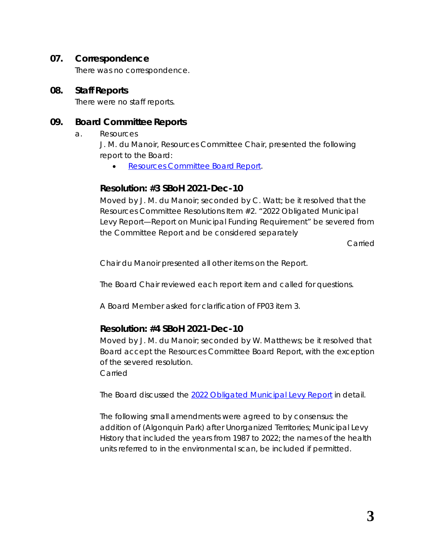#### **07. Correspondence**

There was no correspondence.

#### **08. Staff Reports**

There were no staff reports.

#### **09. Board Committee Reports**

a. Resources

J. M. du Manoir, Resources Committee Chair, presented the following report to the Board:

• *[Resources Committee Board](https://www.rcdhu.com/wp-content/uploads/2022/01/09.-a.-1-Resources-Committee-Board-Report-2021-Dec-06.pdf) Report.*

## **Resolution: #3 SBoH 2021-Dec-10**

Moved by J. M. du Manoir; seconded by C. Watt; be it resolved that the Resources Committee Resolutions Item #2. "2022 Obligated Municipal Levy Report—Report on Municipal Funding Requirement" be severed from the Committee Report and be considered separately

Carried

Chair du Manoir presented all other items on the Report.

The Board Chair reviewed each report item and called for questions.

A Board Member asked for clarification of FP03 item 3.

## **Resolution: #4 SBoH 2021-Dec-10**

Moved by J. M. du Manoir; seconded by W. Matthews; be it resolved that Board accept the Resources Committee Board Report, with the exception of the severed resolution.

Carried

The Board discussed the *[2022 Obligated Municipal Levy Report](https://www.rcdhu.com/wp-content/uploads/2022/01/09.-a.-iv.-2022-Obligated-Municipal-Funding-Report.pdf)* in detail.

The following small amendments were agreed to by consensus: the addition of (Algonquin Park) after Unorganized Territories; *Municipal Levy History* that included the years from 1987 to 2022; the names of the health units referred to in the environmental scan, be included if permitted.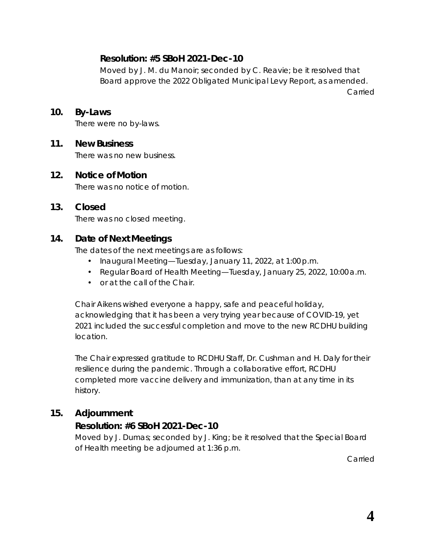## **Resolution: #5 SBoH 2021-Dec-10**

Moved by J. M. du Manoir; seconded by C. Reavie; be it resolved that Board approve the 2022 Obligated Municipal Levy Report, as amended.

Carried

#### **10. By-Laws**

There were no by-laws.

#### **11. New Business**

There was no new business.

#### **12. Notice of Motion**

There was no notice of motion.

#### **13. Closed**

There was no closed meeting.

#### **14. Date of Next Meetings**

The dates of the next meetings are as follows:

- Inaugural Meeting—Tuesday, January 11, 2022, at 1:00 p.m.
- Regular Board of Health Meeting—Tuesday, January 25, 2022, 10:00a.m.
- or at the call of the Chair.

Chair Aikens wished everyone a happy, safe and peaceful holiday, acknowledging that it has been a very trying year because of COVID-19, yet 2021 included the successful completion and move to the new RCDHU building location.

The Chair expressed gratitude to RCDHU Staff, Dr. Cushman and H. Daly for their resilience during the pandemic. Through a collaborative effort, RCDHU completed more vaccine delivery and immunization, than at any time in its history.

#### **15. Adjournment**

## **Resolution: #6 SBoH 2021-Dec-10**

Moved by J. Dumas; seconded by J. King; be it resolved that the Special Board of Health meeting be adjourned at 1:36 p.m.

Carried